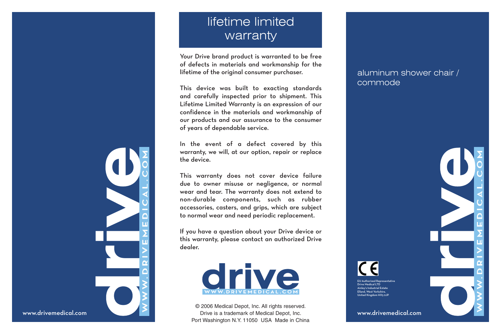## lifetime limited warranty

Your Drive brand product is warranted to be free of defects in materials and workmanship for the lifetime of the original consumer purchaser.

This device was built to exacting standards and carefully inspected prior to shipment. This Lifetime Limited Warranty is an expression of our confidence in the materials and workmanship of our products and our assurance to the consumer of years of dependable service.

In the event of a defect covered by this warranty, we will, at our option, repair or replace the device.

This warranty does not cover device failure due to owner misuse or negligence, or normal wear and tear. The warranty does not extend to non-durable components, such as rubber accessories, casters, and grips, which are subject to normal wear and need periodic replacement.

If you have a question about your Drive device or this warranty, please contact an authorized Drive dealer.



© 2006 Medical Depot, Inc. All rights reserved. Drive is a trademark of Medical Depot, Inc. Port Washington N.Y. 11050 USA Made in China

## aluminum shower chair / commode

www.drivemedical.com

EU Authorized Representative Drive Medical LTD Ainley's Industrial Estate Elland, West Yorkshire, United Kingdom HX5 9JP



www.drivemedical.com